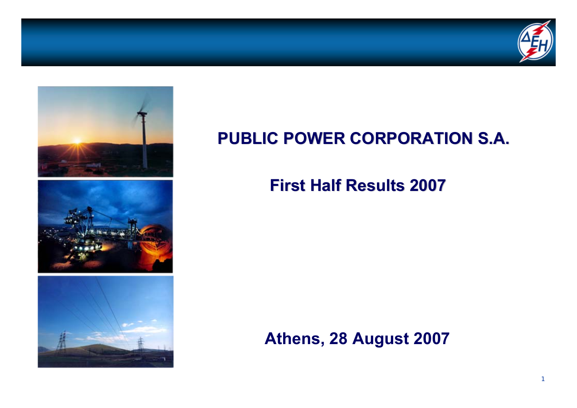



### **PUBLIC POWER CORPORATION S.A. PUBLIC POWER CORPORATION S.A.**

### **First Half Results 2007 First Half Results 2007**

**Athens, 28 August 2007**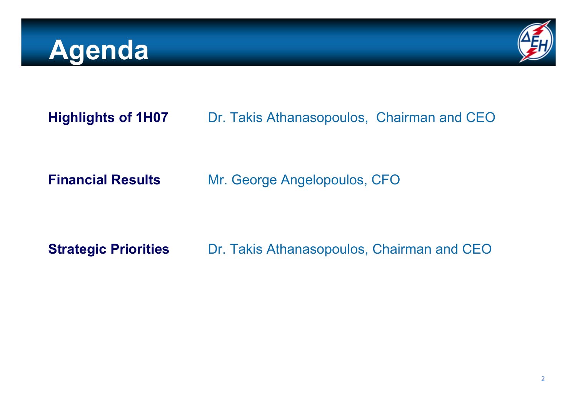### **Agenda**



**Highlights of 1H07** Dr. Takis Athanasopoulos, Chairman and CEO

**Financial Results**

Mr. George Angelopoulos, CFO

**Strategic Priorities** Dr. Takis Athanasopoulos, Chairman and CEO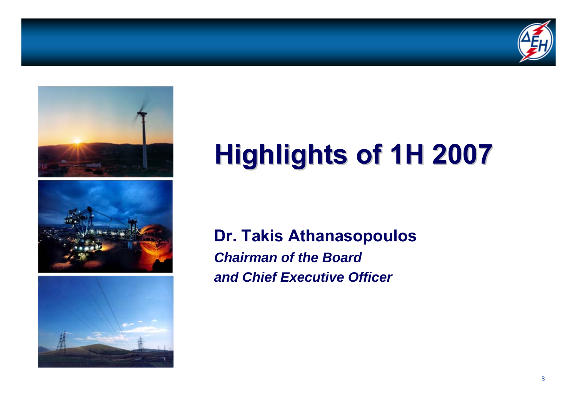





# **Highlights of 1H 2007 Highlights of 1H 2007**

**Dr. Takis Athanasopoulos** *Chairman of the Board and Chief Executive Officer*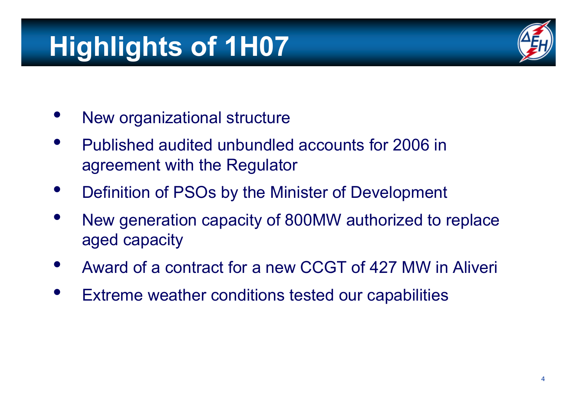# **Highlights of 1H07**

- •New organizational structure
- • Published audited unbundled accounts for 2006 in agreement with the Regulator
- •Definition of PSOs by the Minister of Development
- • New generation capacity of 800MW authorized to replace aged capacity
- •Award of a contract for a new CCGT of 427 MW in Aliveri
- •Extreme weather conditions tested our capabilities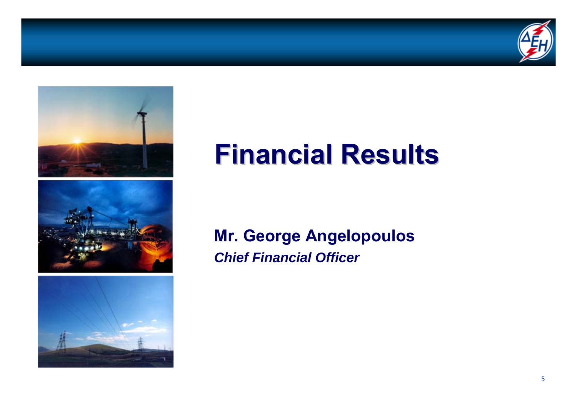







### **Financial Results Financial Results**

#### **Mr. George Angelopoulos** *Chief Financial Officer*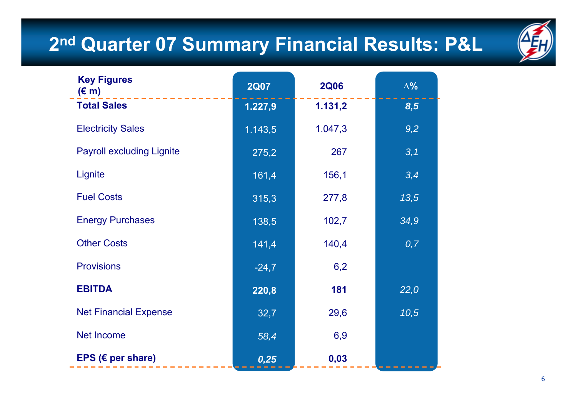### **2nd Quarter 07 Summary Financial Results: P&L**



| <b>Key Figures</b><br>$(\epsilon$ m) | <b>2Q07</b> | <b>2Q06</b> | $\Delta\%$ |
|--------------------------------------|-------------|-------------|------------|
| <b>Total Sales</b>                   | 1.227,9     | 1.131,2     | 8,5        |
| <b>Electricity Sales</b>             | 1.143,5     | 1.047,3     | 9,2        |
| <b>Payroll excluding Lignite</b>     | 275,2       | 267         | 3,1        |
| Lignite                              | 161,4       | 156,1       | 3,4        |
| <b>Fuel Costs</b>                    | 315,3       | 277,8       | 13,5       |
| <b>Energy Purchases</b>              | 138,5       | 102,7       | 34,9       |
| <b>Other Costs</b>                   | 141,4       | 140,4       | 0,7        |
| <b>Provisions</b>                    | $-24,7$     | 6,2         |            |
| <b>EBITDA</b>                        | 220,8       | 181         | 22,0       |
| <b>Net Financial Expense</b>         | 32,7        | 29,6        | 10,5       |
| <b>Net Income</b>                    | 58,4        | 6,9         |            |
| EPS ( $\epsilon$ per share)          | 0,25        | 0,03        |            |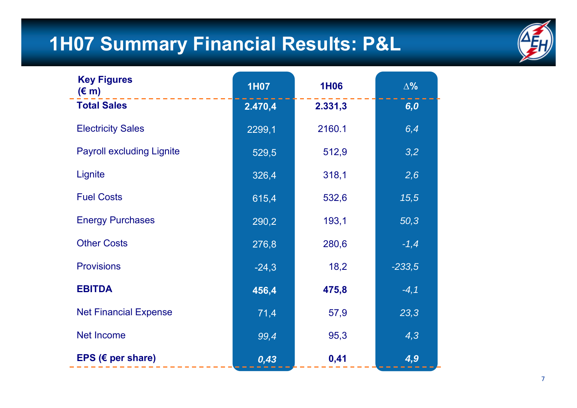### **1H07 Summary Financial Results: P&L**



| <b>Key Figures</b><br>$(\epsilon$ m) | <b>1H07</b> | <b>1H06</b> | $\Delta\%$ |
|--------------------------------------|-------------|-------------|------------|
| <b>Total Sales</b>                   | 2.470,4     | 2.331,3     | 6,0        |
| <b>Electricity Sales</b>             | 2299,1      | 2160.1      | 6,4        |
| <b>Payroll excluding Lignite</b>     | 529,5       | 512,9       | 3,2        |
| Lignite                              | 326,4       | 318,1       | 2,6        |
| <b>Fuel Costs</b>                    | 615,4       | 532,6       | 15,5       |
| <b>Energy Purchases</b>              | 290,2       | 193,1       | 50,3       |
| <b>Other Costs</b>                   | 276,8       | 280,6       | $-1,4$     |
| <b>Provisions</b>                    | $-24,3$     | 18,2        | $-233,5$   |
| <b>EBITDA</b>                        | 456,4       | 475,8       | $-4,1$     |
| <b>Net Financial Expense</b>         | 71,4        | 57,9        | 23,3       |
| <b>Net Income</b>                    | 99,4        | 95,3        | 4,3        |
| EPS ( $\epsilon$ per share)          | 0,43        | 0,41        | 4,9        |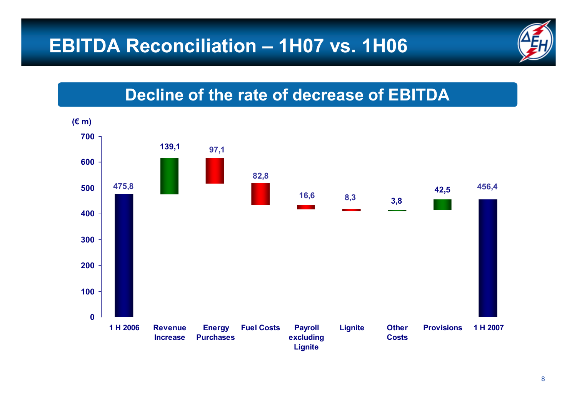### **EBITDA Reconciliation – 1H07 vs. 1H06**



#### **Decline of the rate of decrease of EBITDA**

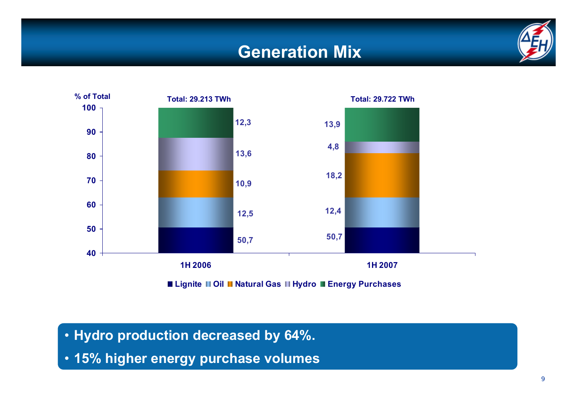#### **Generation Mix**





**Lignite Oil Natural Gas Hydro Energy Purchases**

- **Hydro production decreased by 64%.**
- **15% higher energy purchase volumes**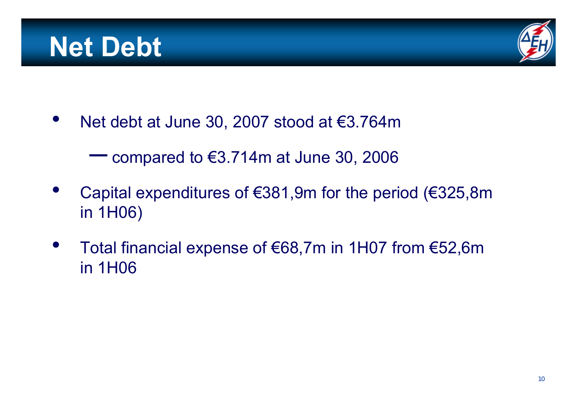### **Net Debt**



 $\bullet$ Net debt at June 30, 2007 stood at €3.764m

> $\sim 10^{-10}$ compared to €3.714m at June 30, 2006

- $\bullet$  Capital expenditures of €381,9m for the period (€325,8m in 1H06)
- • Total financial expense of €68,7m in 1H07 from €52,6m in 1H06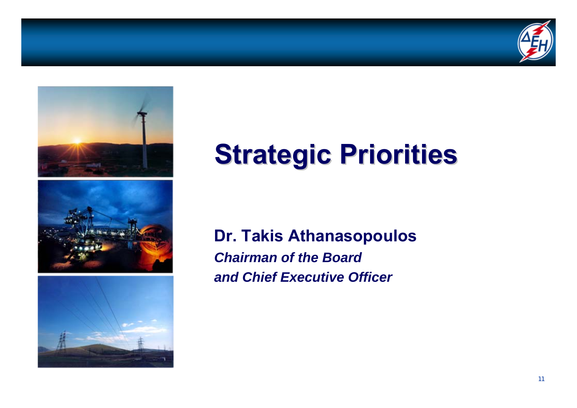





## **Strategic Priorities Strategic Priorities**

**Dr. Takis Athanasopoulos** *Chairman of the Boardand Chief Executive Officer*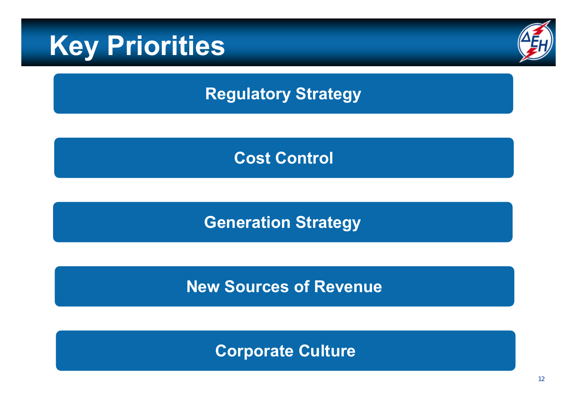### **Key Priorities**



#### **Regulatory Strategy**

#### **Cost Control**

### **Generation Strategy**

#### **New Sources of Revenue**

#### **Corporate Culture**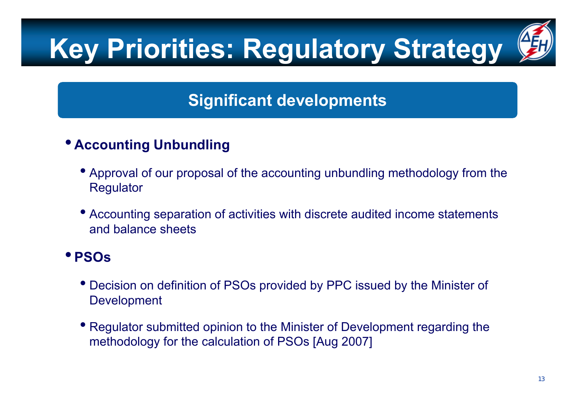# **Key Priorities: Regulatory Strategy**



#### **Significant developments**

#### • **Accounting Unbundling**

- Approval of our proposal of the accounting unbundling methodology from the **Regulator**
- Accounting separation of activities with discrete audited income statements and balance sheets

#### • **PSOs**

- Decision on definition of PSOs provided by PPC issued by the Minister of Development
- Regulator submitted opinion to the Minister of Development regarding the methodology for the calculation of PSOs [Aug 2007]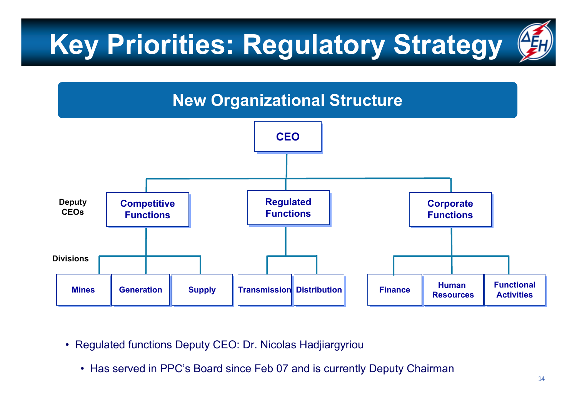# **Key Priorities: Regulatory Strategy**





- $\bullet$  Regulated functions Deputy CEO: Dr. Nicolas Hadjiargyriou
	- Has served in PPC's Board since Feb 07 and is currently Deputy Chairman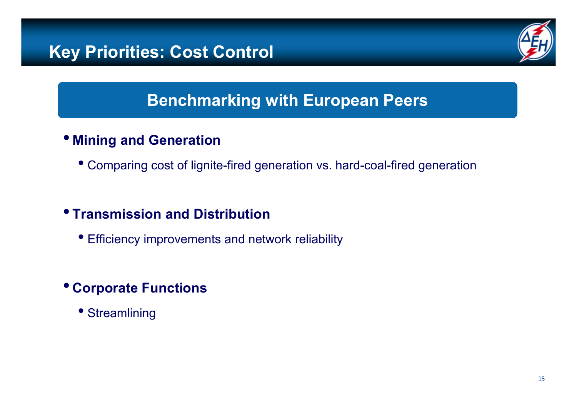

#### **Benchmarking with European Peers**

#### • **Mining and Generation**

• Comparing cost of lignite-fired generation vs. hard-coal-fired generation

#### • **Transmission and Distribution**

• Efficiency improvements and network reliability

#### • **Corporate Functions**

• Streamlining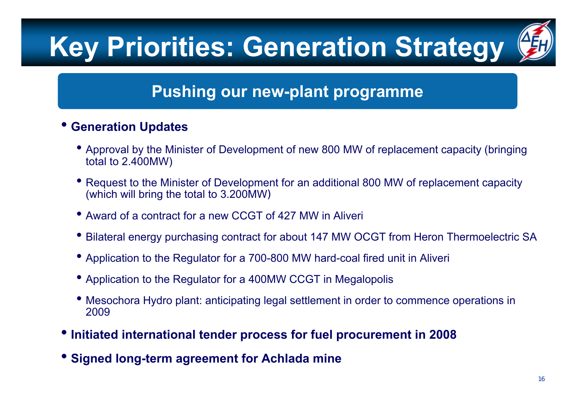# **Key Priorities: Generation Strategy**



#### **Pushing our new-plant programme**

#### •**Generation Updates**

- Approval by the Minister of Development of new 800 MW of replacement capacity (bringing total to 2.400MW)
- Request to the Minister of Development for an additional 800 MW of replacement capacity (which will bring the total to 3.200MW)
- Award of a contract for a new CCGT of 427 MW in Aliveri
- •Bilateral energy purchasing contract for about 147 ΜW OCGT from Heron Thermoelectric SA
- Application to the Regulator for a 700-800 MW hard-coal fired unit in Aliveri
- Application to the Regulator for a 400MW CCGT in Megalopolis
- Mesochora Hydro plant: anticipating legal settlement in order to commence operations in 2009
- **Initiated international tender process for fuel procurement in 2008**
- **Signed long-term agreement for Achlada mine**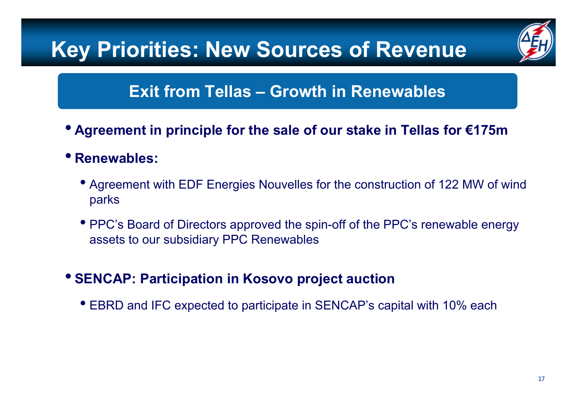### **Key Priorities: New Sources of Revenue**



#### **Exit from Tellas – Growth in Renewables**

- **Agreement in principle for the sale of our stake in Tellas for €175m**
- **Renewables:**
	- Agreement with EDF Energies Nouvelles for the construction of 122 MW of wind parks
	- PPC's Board of Directors approved the spin-off of the PPC's renewable energy assets to our subsidiary PPC Renewables
- **SENCAP: Participation in Kosovo project auction**
	- EBRD and IFC expected to participate in SENCAP's capital with 10% each